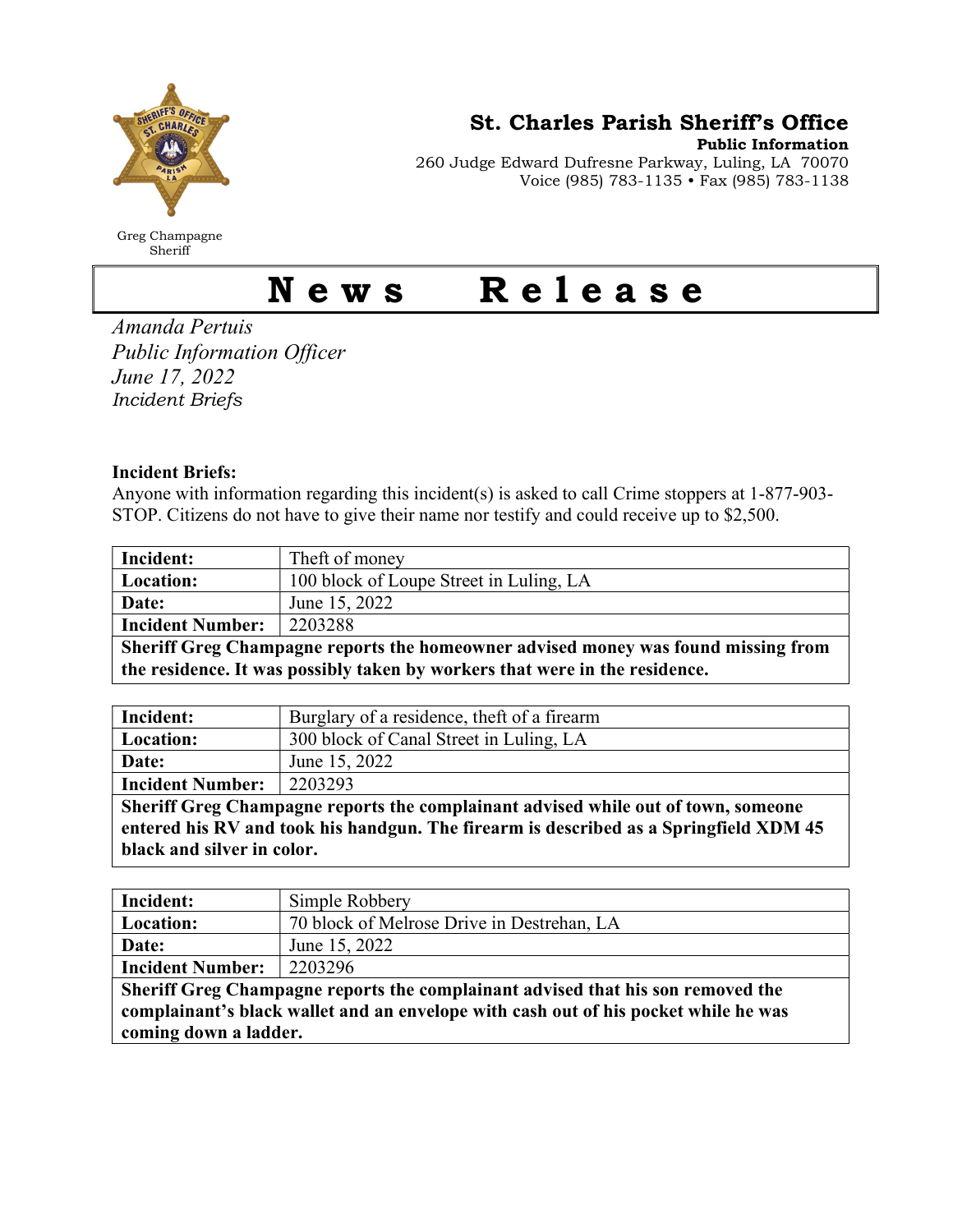

Greg Champagne Sheriff

St. Charles Parish Sheriff's Office

Public Information 260 Judge Edward Dufresne Parkway, Luling, LA 70070 Voice (985) 783-1135 • Fax (985) 783-1138

## News Release

Amanda Pertuis Public Information Officer June 17, 2022 Incident Briefs

## Incident Briefs:

Anyone with information regarding this incident(s) is asked to call Crime stoppers at 1-877-903- STOP. Citizens do not have to give their name nor testify and could receive up to \$2,500.

| Incident:                                                                         | Theft of money                          |  |
|-----------------------------------------------------------------------------------|-----------------------------------------|--|
| <b>Location:</b>                                                                  | 100 block of Loupe Street in Luling, LA |  |
| Date:                                                                             | June 15, 2022                           |  |
| <b>Incident Number:</b>                                                           | 2203288                                 |  |
| Sheriff Greg Champagne reports the homeowner advised money was found missing from |                                         |  |
| the residence. It was possibly taken by workers that were in the residence.       |                                         |  |

| Incident:               | Burglary of a residence, theft of a firearm |
|-------------------------|---------------------------------------------|
| <b>Location:</b>        | 300 block of Canal Street in Luling, LA     |
| Date:                   | June 15, 2022                               |
| <b>Incident Number:</b> | 2203293                                     |

Sheriff Greg Champagne reports the complainant advised while out of town, someone entered his RV and took his handgun. The firearm is described as a Springfield XDM 45 black and silver in color.

| Incident:                                                                                                    | Simple Robbery                             |  |
|--------------------------------------------------------------------------------------------------------------|--------------------------------------------|--|
| Location:                                                                                                    | 70 block of Melrose Drive in Destrehan, LA |  |
| Date:                                                                                                        | June 15, 2022                              |  |
| <b>Incident Number:</b>                                                                                      | 2203296                                    |  |
| Sheriff Greg Champagne reports the complainant advised that his son removed the                              |                                            |  |
| complainant's black wallet and an envelope with cash out of his pocket while he was<br>coming down a ladder. |                                            |  |